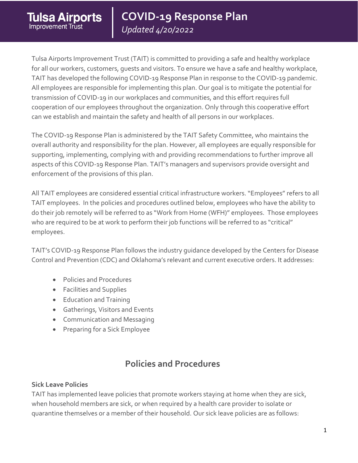Tulsa Airports Improvement Trust (TAIT) is committed to providing a safe and healthy workplace for all our workers, customers, guests and visitors. To ensure we have a safe and healthy workplace, TAIT has developed the following COVID-19 Response Plan in response to the COVID-19 pandemic. All employees are responsible for implementing this plan. Our goal is to mitigate the potential for transmission of COVID-19 in our workplaces and communities, and this effort requires full cooperation of our employees throughout the organization. Only through this cooperative effort can we establish and maintain the safety and health of all persons in our workplaces.

The COVID-19 Response Plan is administered by the TAIT Safety Committee, who maintains the overall authority and responsibility for the plan. However, all employees are equally responsible for supporting, implementing, complying with and providing recommendations to further improve all aspects of this COVID-19 Response Plan. TAIT's managers and supervisors provide oversight and enforcement of the provisions of this plan.

All TAIT employees are considered essential critical infrastructure workers. "Employees" refers to all TAIT employees. In the policies and procedures outlined below, employees who have the ability to do their job remotely will be referred to as "Work from Home (WFH)" employees. Those employees who are required to be at work to perform their job functions will be referred to as "critical" employees.

TAIT's COVID-19 Response Plan follows the industry guidance developed by the Centers for Disease Control and Prevention (CDC) and Oklahoma's relevant and current executive orders. It addresses:

- Policies and Procedures
- Facilities and Supplies
- Education and Training
- Gatherings, Visitors and Events
- Communication and Messaging
- Preparing for a Sick Employee

## **Policies and Procedures**

#### **Sick Leave Policies**

**Tulsa Airports** 

**Improvement Trust** 

TAIT has implemented leave policies that promote workers staying at home when they are sick, when household members are sick, or when required by a health care provider to isolate or quarantine themselves or a member of their household. Our sick leave policies are as follows: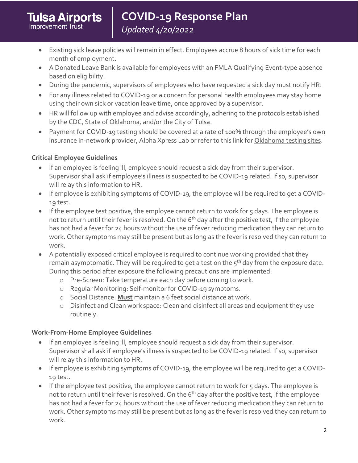- Existing sick leave policies will remain in effect. Employees accrue 8 hours of sick time for each month of employment.
- A Donated Leave Bank is available for employees with an FMLA Qualifying Event-type absence based on eligibility.
- During the pandemic, supervisors of employees who have requested a sick day must notify HR.
- For any illness related to COVID-19 or a concern for personal health employees may stay home using their own sick or vacation leave time, once approved by a supervisor.
- HR will follow up with employee and advise accordingly, adhering to the protocols established by the CDC, State of Oklahoma, and/or the City of Tulsa.
- Payment for COVID-19 testing should be covered at a rate of 100% through the employee's own insurance in-network provider, Alpha Xpress Lab or refer to this link for [Oklahoma testing sites.](https://coronavirus.health.ok.gov/testing-sites)

#### **Critical Employee Guidelines**

- If an employee is feeling ill, employee should request a sick day from their supervisor. Supervisor shall ask if employee's illness is suspected to be COVID-19 related. If so, supervisor will relay this information to HR.
- If employee is exhibiting symptoms of COVID-19, the employee will be required to get a COVID-19 test.
- If the employee test positive, the employee cannot return to work for 5 days. The employee is not to return until their fever is resolved. On the 6<sup>th</sup> day after the positive test, if the employee has not had a fever for 24 hours without the use of fever reducing medication they can return to work. Other symptoms may still be present but as long as the fever is resolved they can return to work.
- A potentially exposed critical employee is required to continue working provided that they remain asymptomatic. They will be required to get a test on the  $5<sup>th</sup>$  day from the exposure date. During this period after exposure the following precautions are implemented:
	- o Pre-Screen: Take temperature each day before coming to work.
	- o Regular Monitoring: Self-monitor for COVID-19 symptoms.
	- o Social Distance: **Must** maintain a 6 feet social distance at work.
	- o Disinfect and Clean work space: Clean and disinfect all areas and equipment they use routinely.

#### **Work-From-Home Employee Guidelines**

- If an employee is feeling ill, employee should request a sick day from their supervisor. Supervisor shall ask if employee's illness is suspected to be COVID-19 related. If so, supervisor will relay this information to HR.
- If employee is exhibiting symptoms of COVID-19, the employee will be required to get a COVID-19 test.
- If the employee test positive, the employee cannot return to work for 5 days. The employee is not to return until their fever is resolved. On the 6<sup>th</sup> day after the positive test, if the employee has not had a fever for 24 hours without the use of fever reducing medication they can return to work. Other symptoms may still be present but as long as the fever is resolved they can return to work.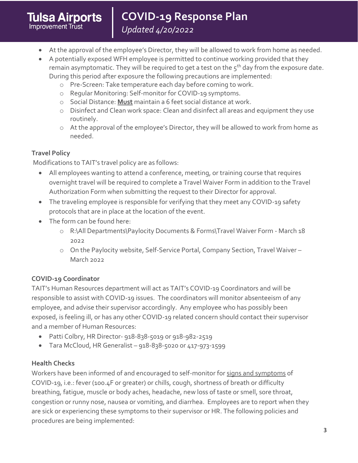- At the approval of the employee's Director, they will be allowed to work from home as needed.
- A potentially exposed WFH employee is permitted to continue working provided that they remain asymptomatic. They will be required to get a test on the  $5<sup>th</sup>$  day from the exposure date. During this period after exposure the following precautions are implemented:
	- o Pre-Screen: Take temperature each day before coming to work.
	- o Regular Monitoring: Self-monitor for COVID-19 symptoms.
	- o Social Distance: **Must** maintain a 6 feet social distance at work.
	- o Disinfect and Clean work space: Clean and disinfect all areas and equipment they use routinely.
	- o At the approval of the employee's Director, they will be allowed to work from home as needed.

## **Travel Policy**

Modifications to TAIT's travel policy are as follows:

- All employees wanting to attend a conference, meeting, or training course that requires overnight travel will be required to complete a Travel Waiver Form in addition to the Travel Authorization Form when submitting the request to their Director for approval.
- The traveling employee is responsible for verifying that they meet any COVID-19 safety protocols that are in place at the location of the event.
- The form can be found here:
	- o R:\All Departments\Paylocity Documents & Forms\Travel Waiver Form March 18 2022
	- o On the Paylocity website, Self-Service Portal, Company Section, Travel Waiver March 2022

## **COVID-19 Coordinator**

TAIT's Human Resources department will act as TAIT's COVID-19 Coordinators and will be responsible to assist with COVID-19 issues. The coordinators will monitor absenteeism of any employee, and advise their supervisor accordingly. Any employee who has possibly been exposed, is feeling ill, or has any other COVID-19 related concern should contact their supervisor and a member of Human Resources:

- Patti Colbry, HR Director- 918-838-5019 or 918-982-2519
- Tara McCloud, HR Generalist 918-838-5020 or 417-973-1599

## **Health Checks**

Workers have been informed of and encouraged to self-monitor for [signs and symptoms](https://www.cdc.gov/coronavirus/2019-ncov/symptoms-testing/symptoms.html) of COVID-19, i.e.: fever (100.4F or greater) or chills, cough, shortness of breath or difficulty breathing, fatigue, muscle or body aches, headache, new loss of taste or smell, sore throat, congestion or runny nose, nausea or vomiting, and diarrhea. Employees are to report when they are sick or experiencing these symptoms to their supervisor or HR. The following policies and procedures are being implemented: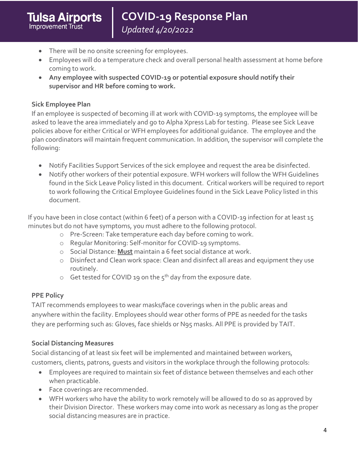- There will be no onsite screening for employees.
- Employees will do a temperature check and overall personal health assessment at home before coming to work.
- **Any employee with suspected COVID-19 or potential exposure should notify their supervisor and HR before coming to work.**

### **Sick Employee Plan**

If an employee is suspected of becoming ill at work with COVID-19 symptoms, the employee will be asked to leave the area immediately and go to Alpha Xpress Lab for testing. Please see Sick Leave policies above for either Critical or WFH employees for additional guidance. The employee and the plan coordinators will maintain frequent communication. In addition, the supervisor will complete the following:

- Notify Facilities Support Services of the sick employee and request the area be disinfected.
- Notify other workers of their potential exposure. WFH workers will follow the WFH Guidelines found in the Sick Leave Policy listed in this document. Critical workers will be required to report to work following the Critical Employee Guidelines found in the Sick Leave Policy listed in this document.

If you have been in close contact (within 6 feet) of a person with a COVID-19 infection for at least 15 minutes but do not have symptoms, you must adhere to the following protocol.

- o Pre-Screen: Take temperature each day before coming to work.
- o Regular Monitoring: Self-monitor for COVID-19 symptoms.
- o Social Distance: **Must** maintain a 6 feet social distance at work.
- o Disinfect and Clean work space: Clean and disinfect all areas and equipment they use routinely.
- $\circ$  Get tested for COVID 19 on the  $5^{th}$  day from the exposure date.

## **PPE Policy**

TAIT recommends employees to wear masks/face coverings when in the public areas and anywhere within the facility. Employees should wear other forms of PPE as needed for the tasks they are performing such as: Gloves, face shields or N95 masks. All PPE is provided by TAIT.

## **Social Distancing Measures**

Social distancing of at least six feet will be implemented and maintained between workers, customers, clients, patrons, guests and visitors in the workplace through the following protocols:

- Employees are required to maintain six feet of distance between themselves and each other when practicable.
- Face coverings are recommended.
- WFH workers who have the ability to work remotely will be allowed to do so as approved by their Division Director. These workers may come into work as necessary as long as the proper social distancing measures are in practice.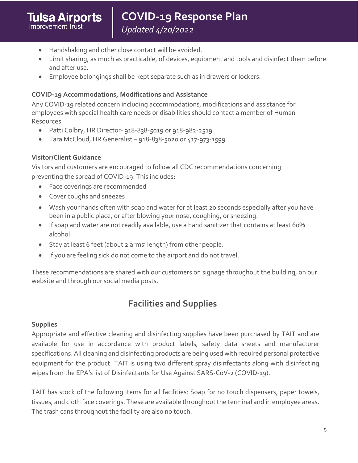- Handshaking and other close contact will be avoided.
- Limit sharing, as much as practicable, of devices, equipment and tools and disinfect them before and after use.
- Employee belongings shall be kept separate such as in drawers or lockers.

## **COVID-19 Accommodations, Modifications and Assistance**

Any COVID-19 related concern including accommodations, modifications and assistance for employees with special health care needs or disabilities should contact a member of Human Resources:

- Patti Colbry, HR Director- 918-838-5019 or 918-982-2519
- Tara McCloud, HR Generalist 918-838-5020 or 417-973-1599

## **Visitor/Client Guidance**

Visitors and customers are encouraged to follow all CDC recommendations concerning preventing the spread of COVID-19. This includes:

- Face coverings are recommended
- Cover coughs and sneezes
- Wash your hands often with soap and water for at least 20 seconds especially after you have been in a public place, or after blowing your nose, coughing, or sneezing.
- If soap and water are not readily available, use a hand sanitizer that contains at least 60% alcohol.
- Stay at least 6 feet (about 2 arms' length) from other people.
- If you are feeling sick do not come to the airport and do not travel.

These recommendations are shared with our customers on signage throughout the building, on our website and through our social media posts.

## **Facilities and Supplies**

## **Supplies**

Appropriate and effective cleaning and disinfecting supplies have been purchased by TAIT and are available for use in accordance with product labels, safety data sheets and manufacturer specifications.All cleaning and disinfecting products are being used with required personal protective equipment for the product. TAIT is using two different spray disinfectants along with disinfecting wipes from the EPA's list of Disinfectants for Use Against SARS-CoV-2 (COVID-19).

TAIT has stock of the following items for all facilities: Soap for no touch dispensers, paper towels, tissues, and cloth face coverings. These are available throughout the terminal and in employee areas. The trash cans throughout the facility are also no touch.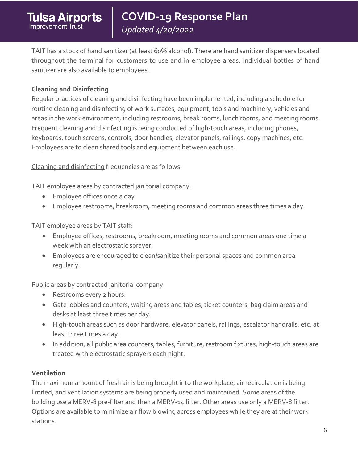TAIT has a stock of hand sanitizer (at least 60% alcohol). There are hand sanitizer dispensers located throughout the terminal for customers to use and in employee areas. Individual bottles of hand sanitizer are also available to employees.

### **Cleaning and Disinfecting**

Regular practices of cleaning and disinfecting have been implemented, including a schedule for routine cleaning and disinfecting of work surfaces, equipment, tools and machinery, vehicles and areas in the work environment, including restrooms, break rooms, lunch rooms, and meeting rooms. Frequent cleaning and disinfecting is being conducted of high-touch areas, including phones, keyboards, touch screens, controls, door handles, elevator panels, railings, copy machines, etc. Employees are to clean shared tools and equipment between each use.

Cleaning and disinfecting frequencies are as follows:

TAIT employee areas by contracted janitorial company:

- Employee offices once a day
- Employee restrooms, breakroom, meeting rooms and common areas three times a day.

TAIT employee areas by TAIT staff:

- Employee offices, restrooms, breakroom, meeting rooms and common areas one time a week with an electrostatic sprayer.
- Employees are encouraged to clean/sanitize their personal spaces and common area regularly.

Public areas by contracted janitorial company:

- Restrooms every 2 hours.
- Gate lobbies and counters, waiting areas and tables, ticket counters, bag claim areas and desks at least three times per day.
- High-touch areas such as door hardware, elevator panels, railings, escalator handrails, etc. at least three times a day.
- In addition, all public area counters, tables, furniture, restroom fixtures, high-touch areas are treated with electrostatic sprayers each night.

#### **Ventilation**

The maximum amount of fresh air is being brought into the workplace, air recirculation is being limited, and ventilation systems are being properly used and maintained. Some areas of the building use a MERV-8 pre-filter and then a MERV-14 filter. Other areas use only a MERV-8 filter. Options are available to minimize air flow blowing across employees while they are at their work stations.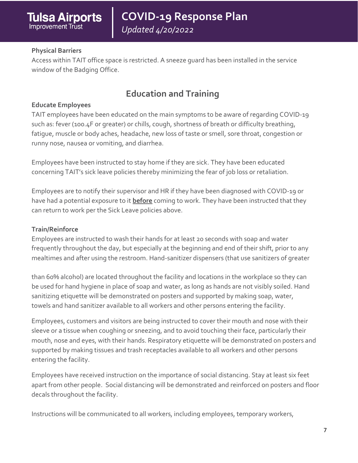#### **Physical Barriers**

Access within TAIT office space is restricted. A sneeze guard has been installed in the service window of the Badging Office.

## **Education and Training**

#### **Educate Employees**

TAIT employees have been educated on the main symptoms to be aware of regarding COVID-19 such as: fever (100.4F or greater) or chills, cough, shortness of breath or difficulty breathing, fatigue, muscle or body aches, headache, new loss of taste or smell, sore throat, congestion or runny nose, nausea or vomiting, and diarrhea.

Employees have been instructed to stay home if they are sick. They have been educated concerning TAIT's sick leave policies thereby minimizing the fear of job loss or retaliation.

Employees are to notify their supervisor and HR if they have been diagnosed with COVID-19 or have had a potential exposure to it **before** coming to work. They have been instructed that they can return to work per the Sick Leave policies above.

### **Train/Reinforce**

Employees are instructed to wash their hands for at least 20 seconds with soap and water frequently throughout the day, but especially at the beginning and end of their shift, prior to any mealtimes and after using the restroom. Hand-sanitizer dispensers (that use sanitizers of greater

than 60% alcohol) are located throughout the facility and locations in the workplace so they can be used for hand hygiene in place of soap and water, as long as hands are not visibly soiled. Hand sanitizing etiquette will be demonstrated on posters and supported by making soap, water, towels and hand sanitizer available to all workers and other persons entering the facility.

Employees, customers and visitors are being instructed to cover their mouth and nose with their sleeve or a tissue when coughing or sneezing, and to avoid touching their face, particularly their mouth, nose and eyes, with their hands. Respiratory etiquette will be demonstrated on posters and supported by making tissues and trash receptacles available to all workers and other persons entering the facility.

Employees have received instruction on the importance of social distancing. Stay at least six feet apart from other people. Social distancing will be demonstrated and reinforced on posters and floor decals throughout the facility.

Instructions will be communicated to all workers, including employees, temporary workers,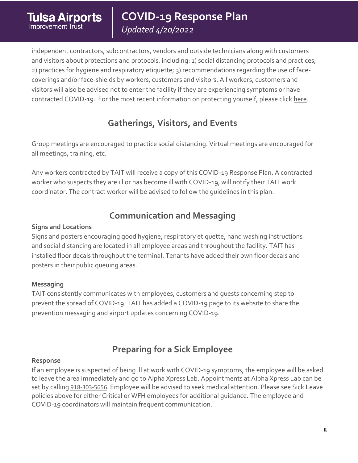independent contractors, subcontractors, vendors and outside technicians along with customers and visitors about protections and protocols, including: 1) social distancing protocols and practices; 2) practices for hygiene and respiratory etiquette; 3) recommendations regarding the use of facecoverings and/or face-shields by workers, customers and visitors. All workers, customers and visitors will also be advised not to enter the facility if they are experiencing symptoms or have contracted COVID-19. For the most recent information on protecting yourself, please click [here.](https://www.cdc.gov/coronavirus/2019-ncov/prevent-getting-sick/prevention.html)

## **Gatherings, Visitors, and Events**

Group meetings are encouraged to practice social distancing. Virtual meetings are encouraged for all meetings, training, etc.

Any workers contracted by TAIT will receive a copy of this COVID-19 Response Plan. A contracted worker who suspects they are ill or has become ill with COVID-19, will notify their TAIT work coordinator. The contract worker will be advised to follow the guidelines in this plan.

## **Communication and Messaging**

#### **Signs and Locations**

Signs and posters encouraging good hygiene, respiratory etiquette, hand washing instructions and social distancing are located in all employee areas and throughout the facility. TAIT has installed floor decals throughout the terminal. Tenants have added their own floor decals and posters in their public queuing areas.

## **Messaging**

TAIT consistently communicates with employees, customers and guests concerning step to prevent the spread of COVID-19. TAIT has added a COVID-19 page to its website to share the prevention messaging and airport updates concerning COVID-19.

# **Preparing for a Sick Employee**

## **Response**

If an employee is suspected of being ill at work with COVID-19 symptoms, the employee will be asked to leave the area immediately and go to Alpha Xpress Lab. Appointments at Alpha Xpress Lab can be set by calling 918-303-5656. Employee will be advised to seek medical attention. Please see Sick Leave policies above for either Critical or WFH employees for additional guidance. The employee and COVID-19 coordinators will maintain frequent communication.